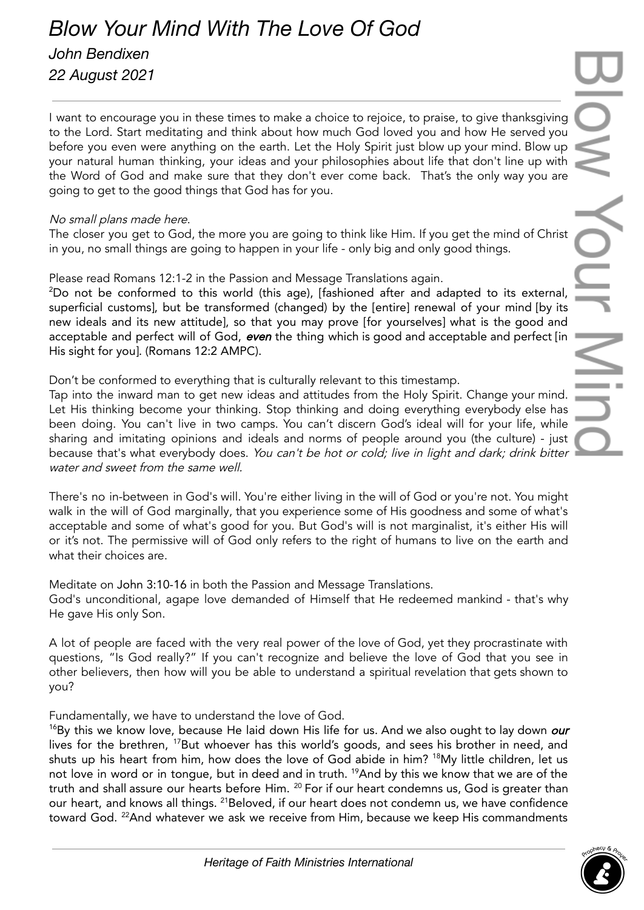## *Blow Your Mind With The Love Of God*

*John Bendixen 22 August 2021*

I want to encourage you in these times to make a choice to rejoice, to praise, to give thanksgiving to the Lord. Start meditating and think about how much God loved you and how He served you before you even were anything on the earth. Let the Holy Spirit just blow up your mind. Blow up your natural human thinking, your ideas and your philosophies about life that don't line up with the Word of God and make sure that they don't ever come back. That's the only way you are going to get to the good things that God has for you.

## No small plans made here.

The closer you get to God, the more you are going to think like Him. If you get the mind of Christ in you, no small things are going to happen in your life - only big and only good things.

Please read Romans 12:1-2 in the Passion and Message Translations again.

<sup>2</sup>Do not be conformed to this world (this age), [fashioned after and adapted to its external, superficial customs], but be transformed (changed) by the [entire] renewal of your mind [by its new ideals and its new attitude], so that you may prove [for yourselves] what is the good and acceptable and perfect will of God, even the thing which is good and acceptable and perfect [in His sight for you]. (Romans 12:2 AMPC).

Don't be conformed to everything that is culturally relevant to this timestamp.

Tap into the inward man to get new ideas and attitudes from the Holy Spirit. Change your mind. Let His thinking become your thinking. Stop thinking and doing everything everybody else has been doing. You can't live in two camps. You can't discern God's ideal will for your life, while sharing and imitating opinions and ideals and norms of people around you (the culture) - just because that's what everybody does. You can't be hot or cold; live in light and dark; drink bitter water and sweet from the same well.

There's no in-between in God's will. You're either living in the will of God or you're not. You might walk in the will of God marginally, that you experience some of His goodness and some of what's acceptable and some of what's good for you. But God's will is not marginalist, it's either His will or it's not. The permissive will of God only refers to the right of humans to live on the earth and what their choices are.

Meditate on John 3:10-16 in both the Passion and Message Translations. God's unconditional, agape love demanded of Himself that He redeemed mankind - that's why He gave His only Son.

A lot of people are faced with the very real power of the love of God, yet they procrastinate with questions, "Is God really?" If you can't recognize and believe the love of God that you see in other believers, then how will you be able to understand a spiritual revelation that gets shown to you?

Fundamentally, we have to understand the love of God.

 $16By$  this we know love, because He laid down His life for us. And we also ought to lay down *our* lives for the brethren, <sup>17</sup>But whoever has this world's goods, and sees his brother in need, and shuts up his heart from him, how does the love of God abide in him? <sup>18</sup>My little children, let us not love in word or in tongue, but in deed and in truth. <sup>19</sup>And by this we know that we are of the truth and shall assure our hearts before Him.  $^{20}$  For if our heart condemns us, God is greater than our heart, and knows all things. <sup>21</sup>Beloved, if our heart does not condemn us, we have confidence toward God. <sup>22</sup>And whatever we ask we receive from Him, because we keep His commandments

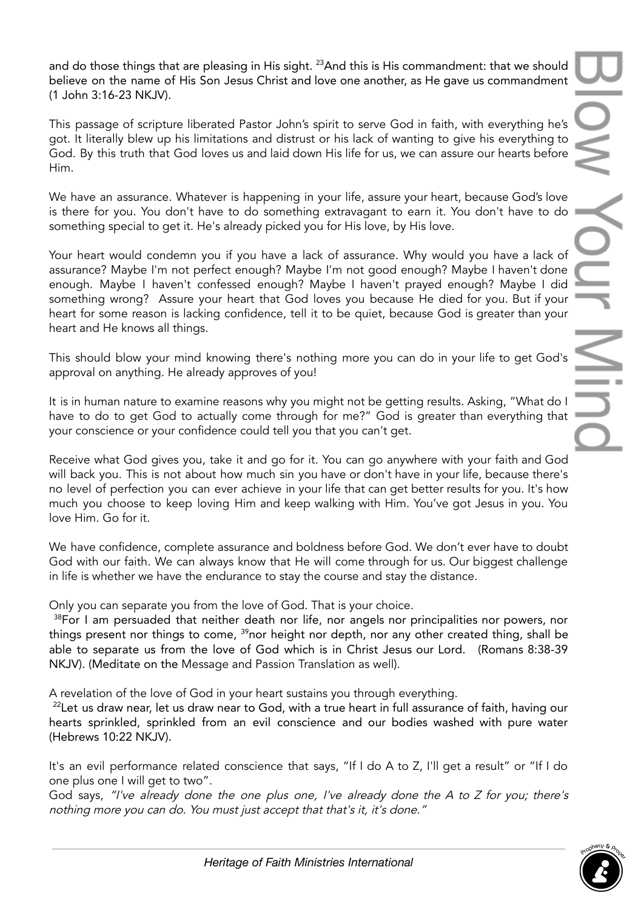and do those things that are pleasing in His sight.  $^{23}$ And this is His commandment: that we should believe on the name of His Son Jesus Christ and love one another, as He gave us commandment (1 John 3:16-23 NKJV).

This passage of scripture liberated Pastor John's spirit to serve God in faith, with everything he's got. It literally blew up his limitations and distrust or his lack of wanting to give his everything to God. By this truth that God loves us and laid down His life for us, we can assure our hearts before Him.

We have an assurance. Whatever is happening in your life, assure your heart, because God's love is there for you. You don't have to do something extravagant to earn it. You don't have to do something special to get it. He's already picked you for His love, by His love.

Your heart would condemn you if you have a lack of assurance. Why would you have a lack of assurance? Maybe I'm not perfect enough? Maybe I'm not good enough? Maybe I haven't done enough. Maybe I haven't confessed enough? Maybe I haven't prayed enough? Maybe I did something wrong? Assure your heart that God loves you because He died for you. But if your heart for some reason is lacking confidence, tell it to be quiet, because God is greater than your heart and He knows all things.

This should blow your mind knowing there's nothing more you can do in your life to get God's approval on anything. He already approves of you!

It is in human nature to examine reasons why you might not be getting results. Asking, "What do I have to do to get God to actually come through for me?" God is greater than everything that your conscience or your confidence could tell you that you can't get.

Receive what God gives you, take it and go for it. You can go anywhere with your faith and God will back you. This is not about how much sin you have or don't have in your life, because there's no level of perfection you can ever achieve in your life that can get better results for you. It's how much you choose to keep loving Him and keep walking with Him. You've got Jesus in you. You love Him. Go for it.

We have confidence, complete assurance and boldness before God. We don't ever have to doubt God with our faith. We can always know that He will come through for us. Our biggest challenge in life is whether we have the endurance to stay the course and stay the distance.

Only you can separate you from the love of God. That is your choice.

<sup>38</sup>For I am persuaded that neither death nor life, nor angels nor principalities nor powers, nor things present nor things to come, <sup>39</sup>nor height nor depth, nor any other created thing, shall be able to separate us from the love of God which is in Christ Jesus our Lord. (Romans 8:38-39 NKJV). (Meditate on the Message and Passion Translation as well).

A revelation of the love of God in your heart sustains you through everything.

<sup>22</sup>Let us draw near, let us draw near to God, with a true heart in full assurance of faith, having our hearts sprinkled, sprinkled from an evil conscience and our bodies washed with pure water (Hebrews 10:22 NKJV).

It's an evil performance related conscience that says, "If I do A to Z, I'll get a result" or "If I do one plus one I will get to two".

God says, "I've already done the one plus one, I've already done the <sup>A</sup> to <sup>Z</sup> for you; there's nothing more you can do. You must just accept that that's it, it's done."